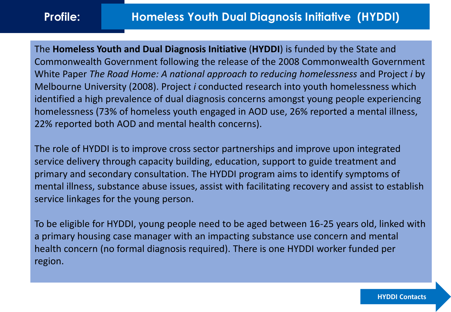The **Homeless Youth and Dual Diagnosis Initiative** (**HYDDI**) is funded by the State and Commonwealth Government following the release of the 2008 Commonwealth Government White Paper *The Road Home: A national approach to reducing homelessness* and Project *i* by Melbourne University (2008). Project *i* conducted research into youth homelessness which identified a high prevalence of dual diagnosis concerns amongst young people experiencing homelessness (73% of homeless youth engaged in AOD use, 26% reported a mental illness, 22% reported both AOD and mental health concerns).

The role of HYDDI is to improve cross sector partnerships and improve upon integrated service delivery through capacity building, education, support to guide treatment and primary and secondary consultation. The HYDDI program aims to identify symptoms of mental illness, substance abuse issues, assist with facilitating recovery and assist to establish service linkages for the young person.

To be eligible for HYDDI, young people need to be aged between 16-25 years old, linked with a primary housing case manager with an impacting substance use concern and mental health concern (no formal diagnosis required). There is one HYDDI worker funded per region.